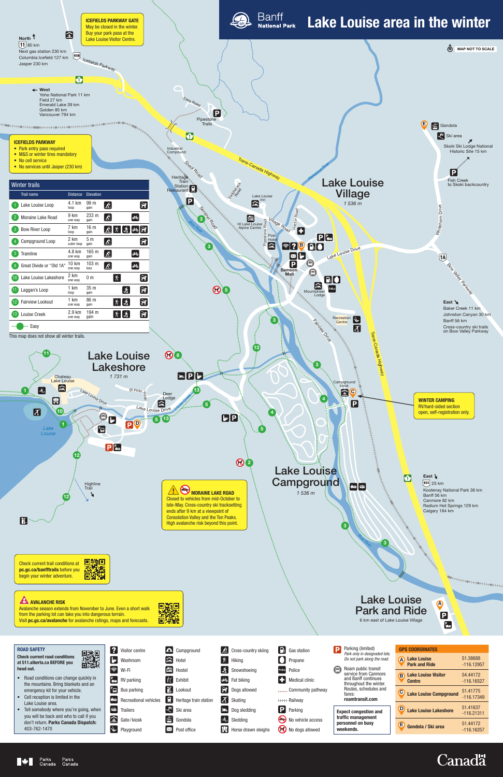# Lake Louise Park and Ride 6 km east of Lake Louise Village

A

 $\overline{\mathbf{B}}$ 

 $\frac{P}{\sqrt{2}}$ 



| <b>GPS COORDINATES</b>                           |                          |
|--------------------------------------------------|--------------------------|
| <b>Lake Louise</b><br>Ά<br><b>Park and Ride</b>  | 51.38688<br>$-116.12957$ |
| <b>Lake Louise Visitor</b><br>B<br><b>Centre</b> | 54.44172<br>$-116.16527$ |
| $\mathbf C$<br><b>Lake Louise Campground</b>     | 51.41775<br>$-116.17349$ |
| <b>Lake Louise Lakeshore</b>                     | 51.41637<br>$-116.21311$ |
| Έ<br>Gondola / Ski area                          | 51.44172<br>-116.16257   |

|     |     | Visitor centre                  |
|-----|-----|---------------------------------|
|     |     | $\blacksquare$ Washroom         |
|     |     | Wi-Fi                           |
|     |     | $\frac{P}{\sqrt{2}}$ RV parking |
|     | "OI | <b>Bus parking</b>              |
|     | 忘恐  | <b>Recreational vehicles</b>    |
| θ'n |     | <b>Trailers</b>                 |
|     |     | Gate/kiosk                      |
|     |     | Playground                      |

Campground  $\triangleq$  Hotel Hostel **i** Exhibit **日**Lookout **Heritage train station Ski** area  $\left| \frac{2}{100} \right|$  Gondola  $\boxtimes$  Post office

 $\delta$  Cross-country skiing  $\left|\mathbf{\hat{X}}\right|$  Hiking Snowshoeing d<sup>3</sup> Fat biking **Dogs allowed** Skating **LD** Dog sledding  $\left|\dot{\mathbf{\hat{S}}}\right|$  Sledding  $\frac{1}{\sqrt{2}}$  Horse drawn sleighs

| $\begin{bmatrix} \begin{bmatrix} \cdot \\ \cdot \end{bmatrix} \end{bmatrix}$ Gas station |
|------------------------------------------------------------------------------------------|
| $\blacksquare$ Propane                                                                   |
| Police Police                                                                            |
| Medical clinic                                                                           |
| Community pathway                                                                        |
| <sup>HHH</sup> Railway                                                                   |
| P Parking                                                                                |
|                                                                                          |

No vehicle access No dogs allowed

#### ROAD SAFETY

Check current road conditions at 511.alberta.ca BEFORE you head out.



- Road conditions can change quickly in the mountains. Bring blankets and an emergency kit for your vehicle.
- Cell reception is limited in the Lake Louise area.
- Tell somebody where you're going, when you will be back and who to call if you don't return. Parks Canada Dispatch: 403-762-1470

| D | Parking (limited)<br>Park only in designated lots.<br>Do not park along the road. |
|---|-----------------------------------------------------------------------------------|
|   | Roam public transit                                                               |

service from Canmore and Banff continues throughout the winter. Routes, schedules and fares: **roamtransit.com**

Π

**Expect congestion and traffic management personnel on busy weekends.**

Avalanche season extends from November to June. Even a short walk from the parking lot can take you into dangerous terrain. Visit **pc.gc.ca/avalanche** for avalanche ratings, maps and forecasts.

DANE SEARCH





## **AVALANCHE RISK**